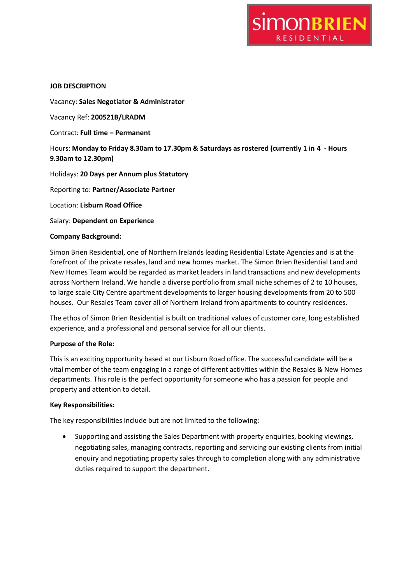

## **JOB DESCRIPTION**

Vacancy: **Sales Negotiator & Administrator**

Vacancy Ref: **200521B/LRADM**

Contract: **Full time – Permanent**

Hours: **Monday to Friday 8.30am to 17.30pm & Saturdays as rostered (currently 1 in 4 - Hours 9.30am to 12.30pm)**

Holidays: **20 Days per Annum plus Statutory** 

Reporting to: **Partner/Associate Partner**

Location: **Lisburn Road Office**

Salary: **Dependent on Experience**

## **Company Background:**

Simon Brien Residential, one of Northern Irelands leading Residential Estate Agencies and is at the forefront of the private resales, land and new homes market. The Simon Brien Residential Land and New Homes Team would be regarded as market leaders in land transactions and new developments across Northern Ireland. We handle a diverse portfolio from small niche schemes of 2 to 10 houses, to large scale City Centre apartment developments to larger housing developments from 20 to 500 houses. Our Resales Team cover all of Northern Ireland from apartments to country residences.

The ethos of Simon Brien Residential is built on traditional values of customer care, long established experience, and a professional and personal service for all our clients.

#### **Purpose of the Role:**

This is an exciting opportunity based at our Lisburn Road office. The successful candidate will be a vital member of the team engaging in a range of different activities within the Resales & New Homes departments. This role is the perfect opportunity for someone who has a passion for people and property and attention to detail.

#### **Key Responsibilities:**

The key responsibilities include but are not limited to the following:

 Supporting and assisting the Sales Department with property enquiries, booking viewings, negotiating sales, managing contracts, reporting and servicing our existing clients from initial enquiry and negotiating property sales through to completion along with any administrative duties required to support the department.